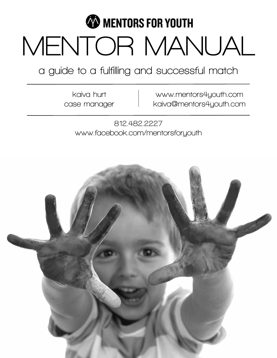

**a guide to a fulfilling and successful match**

**kaiva hurt case manager**

**www.mentors4youth.com kaiva@mentors4youth.com**

**812.482.2227 www.facebook.com/mentorsforyouth**

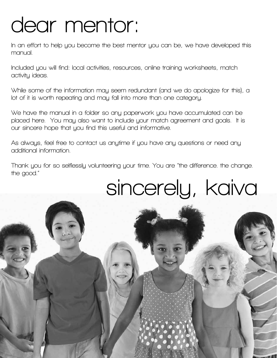## **dear mentor:**

**In an effort to help you become the best mentor you can be, we have developed this manual.** 

**Included you will find: local activities, resources, online training worksheets, match activity ideas.** 

**While some of the information may seem redundant (and we do apologize for this), a lot of it is worth repeating and may fall into more than one category.**

**We have the manual in a folder so any paperwork you have accumulated can be placed here. You may also want to include your match agreement and goals. It is our sincere hope that you find this useful and informative.** 

**As always, feel free to contact us anytime if you have any questions or need any additional information.** 

**Thank you for so selflessly volunteering your time. You are "the difference. the change. the good."**

# **sincerely, kaiva**

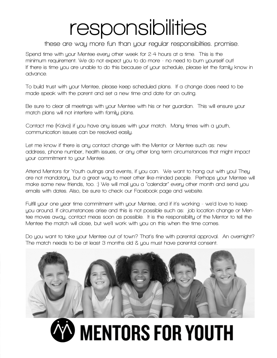### **responsibilities**

#### **these are way more fun than your regular responsibilties. promise.**

**Spend time with your Mentee every other week for 2-4 hours at a time. This is the minimum requirement. We do not expect you to do more - no need to burn yourself out! If there is time you are unable to do this because of your schedule, please let the family know in advance.** 

**To build trust with your Mentee, please keep scheduled plans. If a change does need to be made speak with the parent and set a new time and date for an outing.** 

**Be sure to clear all meetings with your Mentee with his or her guardian. This will ensure your match plans will not interfere with family plans.** 

**Contact me (Kaiva) if you have any issues with your match. Many times with a youth, communication issues can be resolved easily.** 

**Let me know if there is any contact change with the Mentor or Mentee such as: new address, phone number, health issues, or any other long term circumstances that might impact your commitment to your Mentee.**

**Attend Mentors for Youth outings and events, if you can. We want to hang out with you! They are not mandatory, but a great way to meet other like-minded people. Perhaps your Mentee will make some new friends, too. :) We will mail you a "calendar" every other month and send you emails with dates. Also, be sure to check our Facebook page and website.** 

**Fulfill your one year time commitment with your Mentee, and if it's working - we'd love to keep you around. If circumstances arise and this is not possible such as: job location change or Mentee moves away, contact meas soon as possible. It is the responsibility of the Mentor to tell the Mentee the match will close, but we'll work with you on this when the time comes.** 

**Do you want to take your Mentee out of town? That's fine with parental approval. An overnight? The match needs to be at least 3 months old & you must have parental consent.**



# **MENTORS FOR YOUTH**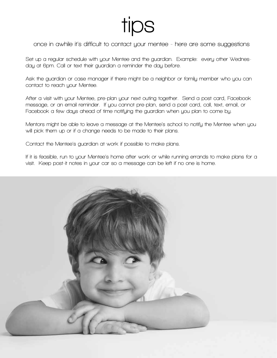### **tips**

**once in awhile it's difficult to contact your mentee - here are some suggestions**

**Set up a regular schedule with your Mentee and the guardian. Example: every other Wednesday at 6pm. Call or text their guardian a reminder the day before.**

**Ask the guardian or case manager if there might be a neighbor or family member who you can contact to reach your Mentee.**

**After a visit with your Mentee, pre-plan your next outing together. Send a post card, Facebook message, or an email reminder. If you cannot pre-plan, send a post card, call, text, email, or Facebook a few days ahead of time notifying the guardian when you plan to come by.**

**Mentors might be able to leave a message at the Mentee's school to notify the Mentee when you will pick them up or if a change needs to be made to their plans.** 

**Contact the Mentee's guardian at work if possible to make plans.**

**If it is feasible, run to your Mentee's home after work or while running errands to make plans for a visit. Keep post-it notes in your car so a message can be left if no one is home.**

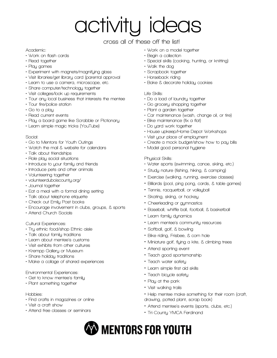# **activity ideas**

#### **cross all of these off the list!**

#### **Academic:**

- **Work on flash cards**
- **Read together**
- **Play games**
- **Experiment with magnets/magnifying glass**
- **Visit libraries/get library card (parental approval**
- **Learn to use a camera, microscope, etc.**
- **Share computer/technology together**
- **Visit colleges/look up requirements**
- **Tour any local business that interests the mentee**
- **Tour fire/police station**
- **Go to a play**
- **Read current events**
- **Play a board game like Scrabble or Pictionary**
- **Learn simple magic tricks (YouTube)**

#### **Social:**

- **Go to Mentors for Youth Outings**
- **Watch the mail & website for calendars**
- **Talk about friendships**
- **Role play social situations**
- **Introduce to your family and friends**
- **Introduce pets and other animals**
- **Volunteering together**
- **volunteerduboiscounty.org/**
- **Journal together**
- **Eat a meal with a formal dining setting**
- **Talk about telephone etiquette**
- **Check out Emily Post books**
- **Encourage involvement in clubs, groups, & sports**
- **Attend Church Socials**

#### **Cultural Experiences:**

- **Try ethnic food/shop Ethnic aisle**
- **Talk about family traditions**
- **Learn about mentee's customs**
- **Visit exhibits from other cultures**
- **Krempp Gallery or Museum**
- **Share holiday traditions**
- **Make a collage of shared experiences**

#### **Environmental Experiences:**

- **Get to know mentee's family**
- **Plant something together**

#### **Hobbies:**

- **Find crafts in magazines or online**
- **Visit a craft show**
- **Attend free classes or seminars**
- **Work on a model together**
- **Begin a collection**
- **Special skills (cooking, hunting, or knitting)**
- **Walk the dog**
- **Scrapbook together**
- **Horseback riding**
- **Bake & decorate holiday cookies**

#### **Life Skills:**

- **Do a load of laundry together**
- **Go grocery shopping together**
- **Plant a garden together**
- **Car maintenance (wash, change oil, or tire)**
- **Bike maintenance (fix a flat)**
- **Do yard work together**
- **House upkeep/Home Depot Workshops**
- **Visit your place of employment**
- **Create a mock budget/show how to pay bills**
- **Model good personal hygiene**

#### **Physical Skills:**

- **Water sports (swimming, canoe, skiing, etc.)**
- **Study nature (fishing, hiking, & camping)**
- **Exercise (walking, running, exercise classes)**
- **Billiards (pool, ping pong, cards, & table games)**
- **Tennis, racquetball, or volleyball**
- **Skating, skiing, or hockey**
- **Cheerleading or gymnastics**
- **Baseball, whiffle ball, football, & basketball**
- **Learn family dynamics**
- **Learn mentee's community resources**
- **Softball, golf, & bowling**
- **Bike riding, Frisbee, & corn hole**
- **Miniature golf, flying a kite, & climbing trees**
- **Attend sporting event**
- **Teach good sportsmanship**
- **Teach water safety**
- **Learn simple first aid skills**
- **Teach bicycle safety**
- **Play at the park**
- **Visit walking trails**
- **Help mentee make something for their room (craft, drawing, potted plant, scrap book)**
- **Attend mentee's events (sports, clubs, etc.)**
- **Tri-County YMCA Ferdinand**
- **WENTORS FOR YOUTH**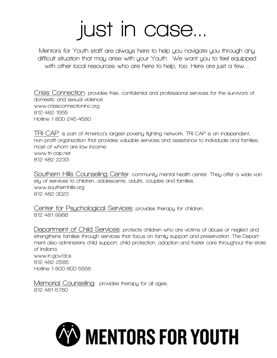# **just in case...**

**Mentors for Youth staff are always here to help you navigate you through any difficult situation that may arise with your Youth. We want you to feel equipped with other local resources who are here to help, too. Here are just a few....**

**Crisis Connection: provides free, confidential and professional services for the survivors of domestic and sexual violence www.crisisconnectioninc.org 812-482-1555 Hotline 1-800-245-4580**

**TRI-CAP: is part of America's largest poverty fighting network. TRI-CAP is an independent, non-profit organization that provides valuable services and assistance to individuals and families, most of whom are low-income. www.tri-cap.net 812-482-2233**

**Southern Hills Counseling Center: community mental health center. They offer a wide variety of services to children, adolescents, adults, couples and families. www.southernhills.org 812-482-3020**

**Center for Psychological Services: provides therapy for children. 812-481-9988**

**Department of Child Services: protects children who are victims of abuse or neglect and strengthens families through services that focus on family support and preservation. The Department also administers child support, child protection, adoption and foster care throughout the state of Indiana. www.in.gov/dcs 812-482-2585 Hotline 1-800-800-5556**

**Memorial Counseling: provides therapy for all ages. 812-481-5780**